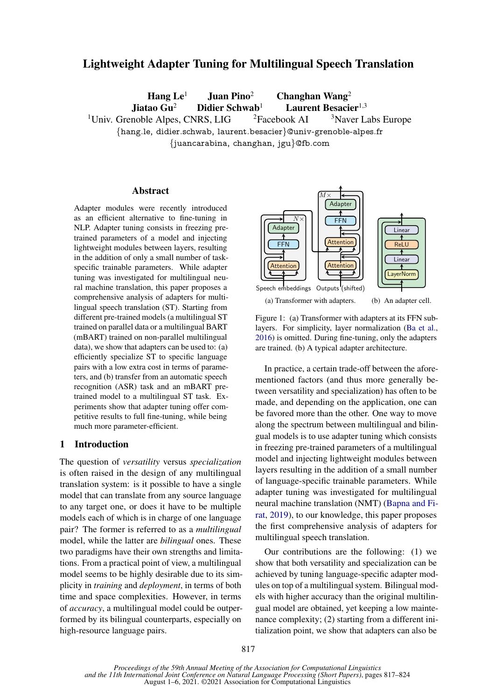# Lightweight Adapter Tuning for Multilingual Speech Translation

Hang  $Le<sup>1</sup>$  Juan Pino<sup>2</sup> Changhan Wang<sup>2</sup> Jiatao Gu<sup>2</sup> Didier Schwab<sup>1</sup> Laurent Besacier<sup>1,3</sup> <sup>1</sup>Univ. Grenoble Alpes, CNRS, LIG  $\frac{2F}{3}$  <sup>2</sup>Facebook AI  $\frac{3}{3}$  Naver Labs Europe {hang.le, didier.schwab, laurent.besacier}@univ-grenoble-alpes.fr {juancarabina, changhan, jgu}@fb.com

# Abstract

Adapter modules were recently introduced as an efficient alternative to fine-tuning in NLP. Adapter tuning consists in freezing pretrained parameters of a model and injecting lightweight modules between layers, resulting in the addition of only a small number of taskspecific trainable parameters. While adapter tuning was investigated for multilingual neural machine translation, this paper proposes a comprehensive analysis of adapters for multilingual speech translation (ST). Starting from different pre-trained models (a multilingual ST trained on parallel data or a multilingual BART (mBART) trained on non-parallel multilingual data), we show that adapters can be used to: (a) efficiently specialize ST to specific language pairs with a low extra cost in terms of parameters, and (b) transfer from an automatic speech recognition (ASR) task and an mBART pretrained model to a multilingual ST task. Experiments show that adapter tuning offer competitive results to full fine-tuning, while being much more parameter-efficient.

# 1 Introduction

The question of *versatility* versus *specialization* is often raised in the design of any multilingual translation system: is it possible to have a single model that can translate from any source language to any target one, or does it have to be multiple models each of which is in charge of one language pair? The former is referred to as a *multilingual* model, while the latter are *bilingual* ones. These two paradigms have their own strengths and limitations. From a practical point of view, a multilingual model seems to be highly desirable due to its simplicity in *training* and *deployment*, in terms of both time and space complexities. However, in terms of *accuracy*, a multilingual model could be outperformed by its bilingual counterparts, especially on high-resource language pairs.

<span id="page-0-0"></span>

Figure 1: (a) Transformer with adapters at its FFN sublayers. For simplicity, layer normalization [\(Ba et al.,](#page-5-0) [2016\)](#page-5-0) is omitted. During fine-tuning, only the adapters are trained. (b) A typical adapter architecture.

In practice, a certain trade-off between the aforementioned factors (and thus more generally between versatility and specialization) has often to be made, and depending on the application, one can be favored more than the other. One way to move along the spectrum between multilingual and bilingual models is to use adapter tuning which consists in freezing pre-trained parameters of a multilingual model and injecting lightweight modules between layers resulting in the addition of a small number of language-specific trainable parameters. While adapter tuning was investigated for multilingual neural machine translation (NMT) [\(Bapna and Fi](#page-5-1)[rat,](#page-5-1) [2019\)](#page-5-1), to our knowledge, this paper proposes the first comprehensive analysis of adapters for multilingual speech translation.

Our contributions are the following: (1) we show that both versatility and specialization can be achieved by tuning language-specific adapter modules on top of a multilingual system. Bilingual models with higher accuracy than the original multilingual model are obtained, yet keeping a low maintenance complexity; (2) starting from a different initialization point, we show that adapters can also be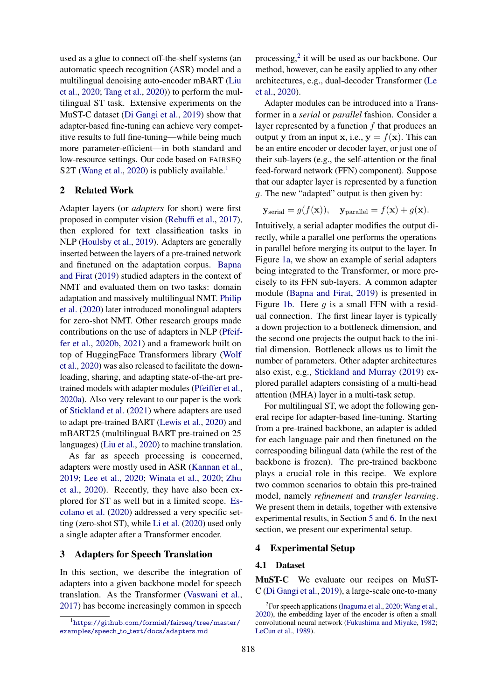used as a glue to connect off-the-shelf systems (an automatic speech recognition (ASR) model and a multilingual denoising auto-encoder mBART [\(Liu](#page-5-2) [et al.,](#page-5-2) [2020;](#page-5-2) [Tang et al.,](#page-6-0) [2020\)](#page-6-0)) to perform the multilingual ST task. Extensive experiments on the MuST-C dataset [\(Di Gangi et al.,](#page-5-3) [2019\)](#page-5-3) show that adapter-based fine-tuning can achieve very competitive results to full fine-tuning—while being much more parameter-efficient—in both standard and low-resource settings. Our code based on FAIRSEQ S2T [\(Wang et al.,](#page-6-1) [2020\)](#page-6-1) is publicly available.<sup>[1](#page-1-0)</sup>

### 2 Related Work

Adapter layers (or *adapters* for short) were first proposed in computer vision [\(Rebuffi et al.,](#page-6-2) [2017\)](#page-6-2), then explored for text classification tasks in NLP [\(Houlsby et al.,](#page-5-4) [2019\)](#page-5-4). Adapters are generally inserted between the layers of a pre-trained network and finetuned on the adaptation corpus. [Bapna](#page-5-1) [and Firat](#page-5-1) [\(2019\)](#page-5-1) studied adapters in the context of NMT and evaluated them on two tasks: domain adaptation and massively multilingual NMT. [Philip](#page-6-3) [et al.](#page-6-3) [\(2020\)](#page-6-3) later introduced monolingual adapters for zero-shot NMT. Other research groups made contributions on the use of adapters in NLP [\(Pfeif](#page-6-4)[fer et al.,](#page-6-4) [2020b,](#page-6-4) [2021\)](#page-6-5) and a framework built on top of HuggingFace Transformers library [\(Wolf](#page-6-6) [et al.,](#page-6-6) [2020\)](#page-6-6) was also released to facilitate the downloading, sharing, and adapting state-of-the-art pretrained models with adapter modules [\(Pfeiffer et al.,](#page-6-7) [2020a\)](#page-6-7). Also very relevant to our paper is the work of [Stickland et al.](#page-6-8) [\(2021\)](#page-6-8) where adapters are used to adapt pre-trained BART [\(Lewis et al.,](#page-5-5) [2020\)](#page-5-5) and mBART25 (multilingual BART pre-trained on 25 languages) [\(Liu et al.,](#page-5-2) [2020\)](#page-5-2) to machine translation.

As far as speech processing is concerned, adapters were mostly used in ASR [\(Kannan et al.,](#page-5-6) [2019;](#page-5-6) [Lee et al.,](#page-5-7) [2020;](#page-5-7) [Winata et al.,](#page-6-9) [2020;](#page-6-9) [Zhu](#page-6-10) [et al.,](#page-6-10) [2020\)](#page-6-10). Recently, they have also been explored for ST as well but in a limited scope. [Es](#page-5-8)[colano et al.](#page-5-8) [\(2020\)](#page-5-8) addressed a very specific setting (zero-shot ST), while [Li et al.](#page-5-9) [\(2020\)](#page-5-9) used only a single adapter after a Transformer encoder.

### 3 Adapters for Speech Translation

In this section, we describe the integration of adapters into a given backbone model for speech translation. As the Transformer [\(Vaswani et al.,](#page-6-11) [2017\)](#page-6-11) has become increasingly common in speech

processing,<sup>[2](#page-1-1)</sup> it will be used as our backbone. Our method, however, can be easily applied to any other architectures, e.g., dual-decoder Transformer [\(Le](#page-5-10) [et al.,](#page-5-10) [2020\)](#page-5-10).

Adapter modules can be introduced into a Transformer in a *serial* or *parallel* fashion. Consider a layer represented by a function  $f$  that produces an output y from an input x, i.e.,  $y = f(x)$ . This can be an entire encoder or decoder layer, or just one of their sub-layers (e.g., the self-attention or the final feed-forward network (FFN) component). Suppose that our adapter layer is represented by a function g. The new "adapted" output is then given by:

$$
\mathbf{y}_{\text{serial}} = g(f(\mathbf{x})), \quad \mathbf{y}_{\text{parallel}} = f(\mathbf{x}) + g(\mathbf{x}).
$$

Intuitively, a serial adapter modifies the output directly, while a parallel one performs the operations in parallel before merging its output to the layer. In Figure [1a,](#page-0-0) we show an example of serial adapters being integrated to the Transformer, or more precisely to its FFN sub-layers. A common adapter module [\(Bapna and Firat,](#page-5-1) [2019\)](#page-5-1) is presented in Figure [1b.](#page-0-0) Here q is a small FFN with a residual connection. The first linear layer is typically a down projection to a bottleneck dimension, and the second one projects the output back to the initial dimension. Bottleneck allows us to limit the number of parameters. Other adapter architectures also exist, e.g., [Stickland and Murray](#page-6-12) [\(2019\)](#page-6-12) explored parallel adapters consisting of a multi-head attention (MHA) layer in a multi-task setup.

For multilingual ST, we adopt the following general recipe for adapter-based fine-tuning. Starting from a pre-trained backbone, an adapter is added for each language pair and then finetuned on the corresponding bilingual data (while the rest of the backbone is frozen). The pre-trained backbone plays a crucial role in this recipe. We explore two common scenarios to obtain this pre-trained model, namely *refinement* and *transfer learning*. We present them in details, together with extensive experimental results, in Section [5](#page-2-0) and [6.](#page-4-0) In the next section, we present our experimental setup.

### 4 Experimental Setup

### 4.1 Dataset

MuST-C We evaluate our recipes on MuST-C [\(Di Gangi et al.,](#page-5-3) [2019\)](#page-5-3), a large-scale one-to-many

<span id="page-1-0"></span><sup>1</sup>[https://github.com/formiel/fairseq/tree/master/](https://github.com/formiel/fairseq/tree/master/examples/speech_to_text/docs/adapters.md) examples/speech\_to\_[text/docs/adapters.md](https://github.com/formiel/fairseq/tree/master/examples/speech_to_text/docs/adapters.md)

<span id="page-1-1"></span><sup>&</sup>lt;sup>2</sup>For speech applications [\(Inaguma et al.,](#page-5-11) [2020;](#page-5-11) [Wang et al.,](#page-6-1) [2020\)](#page-6-1), the embedding layer of the encoder is often a small convolutional neural network [\(Fukushima and Miyake,](#page-5-12) [1982;](#page-5-12) [LeCun et al.,](#page-5-13) [1989\)](#page-5-13).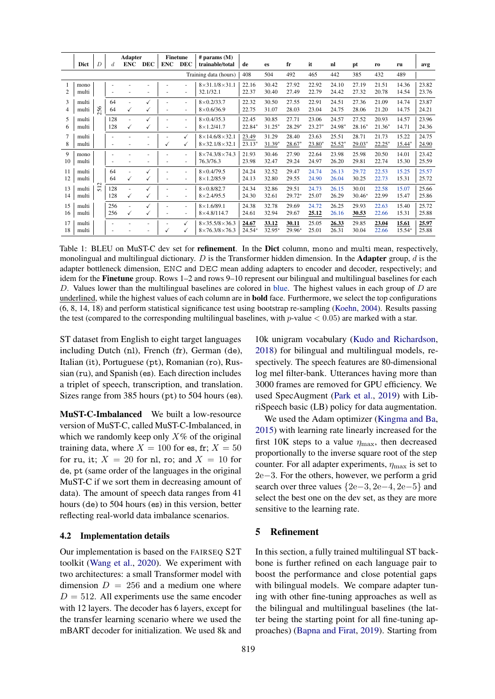<span id="page-2-1"></span>

|                       |       | <b>Adapter</b>  |                  | <b>Finetune</b>          |              | $#$ params $(M)$ |                          |                               |          |           |          |          |          |          |          |        |       |
|-----------------------|-------|-----------------|------------------|--------------------------|--------------|------------------|--------------------------|-------------------------------|----------|-----------|----------|----------|----------|----------|----------|--------|-------|
|                       | Dict  | $\overline{D}$  | $\boldsymbol{d}$ | <b>ENC</b>               | <b>DEC</b>   | <b>ENC</b>       | <b>DEC</b>               | trainable/total               | de       | <b>es</b> | fr       | it       | nl       | pt       | ro       | ru     | avg   |
| Training data (hours) |       |                 |                  |                          |              |                  | 408                      | 504                           | 492      | 465       | 442      | 385      | 432      | 489      |          |        |       |
|                       | mono  |                 |                  |                          |              |                  |                          | $8 \times 31.1/8 \times 31.1$ | 22.16    | 30.42     | 27.92    | 22.92    | 24.10    | 27.19    | 21.51    | 14.36  | 23.82 |
| 2                     | multi |                 |                  |                          |              |                  |                          | 32.1/32.1                     | 22.37    | 30.40     | 27.49    | 22.79    | 24.42    | 27.32    | 20.78    | 14.54  | 23.76 |
| 3                     | multi |                 | 64               |                          |              |                  |                          | $8\times 0.2/33.7$            | 22.32    | 30.50     | 27.55    | 22.91    | 24.51    | 27.36    | 21.09    | 14.74  | 23.87 |
| 4                     | multi | 256             | 64               | ✓                        |              |                  | $\overline{\phantom{a}}$ | $8\times 0.6/36.9$            | 22.75    | 31.07     | 28.03    | 23.04    | 24.75    | 28.06    | 21.20    | 14.75  | 24.21 |
| 5                     | multi |                 | 128              |                          |              |                  | $\overline{a}$           | $8\times 0.4/35.3$            | 22.45    | 30.85     | 27.71    | 23.06    | 24.57    | 27.52    | 20.93    | 14.57  | 23.96 |
| 6                     | multi |                 | 128              | √                        |              |                  | ٠                        | $8 \times 1.2/41.7$           | 22.84*   | $31.25*$  | $28.29*$ | $23.27*$ | 24.98*   | $28.16*$ | $21.36*$ | 14.71  | 24.36 |
| 7                     | multi |                 |                  |                          |              |                  | ✓                        | $8 \times 14.6/8 \times 32.1$ | 23.49    | 31.29     | 28.40    | 23.63    | 25.51    | 28.71    | 21.73    | 15.22  | 24.75 |
| 8                     | multi |                 | ٠                |                          |              | ✓                | ✓                        | $8 \times 32.1/8 \times 32.1$ | $23.13*$ | $31.39*$  | $28.67*$ | $23.80*$ | $25.52*$ | 29.03*   | $22.25*$ | 15.44* | 24.90 |
| 9                     | mono  |                 |                  |                          |              |                  | ٠                        | $8 \times 74.3/8 \times 74.3$ | 21.93    | 30.46     | 27.90    | 22.64    | 23.98    | 25.98    | 20.50    | 14.01  | 23.42 |
| 10                    | multi |                 | ٠                |                          |              |                  | ٠                        | 76.3/76.3                     | 23.98    | 32.47     | 29.24    | 24.97    | 26.20    | 29.81    | 22.74    | 15.30  | 25.59 |
| 11                    | multi |                 | 64               |                          |              |                  | ٠                        | $8\times 0.4/79.5$            | 24.24    | 32.52     | 29.47    | 24.74    | 26.13    | 29.72    | 22.53    | 15.25  | 25.57 |
| 12                    | multi | $\mathbf{\sim}$ | 64               | ✓                        | $\checkmark$ |                  | ٠                        | $8 \times 1.2/85.9$           | 24.13    | 32.80     | 29.55    | 24.90    | 26.04    | 30.25    | 22.73    | 15.31  | 25.72 |
| 13                    | multi | $\overline{5}$  | 128              | $\overline{\phantom{a}}$ |              |                  |                          | $8\times 0.8/82.7$            | 24.34    | 32.86     | 29.51    | 24.73    | 26.15    | 30.01    | 22.58    | 15.07  | 25.66 |
| 14                    | multi |                 | 128              | ✓                        |              |                  | $\overline{\phantom{a}}$ | $8 \times 2.4/95.5$           | 24.30    | 32.61     | 29.72*   | 25.07    | 26.29    | $30.46*$ | 22.99    | 15.47  | 25.86 |
| 15                    | multi |                 | 256              |                          |              |                  | ٠                        | $8 \times 1.6/89.1$           | 24.38    | 32.78     | 29.69    | 24.72    | 26.25    | 29.93    | 22.63    | 15.40  | 25.72 |
| 16                    | multi |                 | 256              | ✓                        | $\checkmark$ |                  | ٠                        | $8\times4.8/114.7$            | 24.61    | 32.94     | 29.67    | 25.12    | 26.16    | 30.53    | 22.66    | 15.31  | 25.88 |
| 17                    | multi |                 | ٠                |                          |              |                  | ✓                        | $8\times35.5/8\times36.3$     | 24.67    | 33.12     | 30.11    | 25.05    | 26.33    | 29.85    | 23.04    | 15.61  | 25.97 |
| 18                    | multi |                 |                  |                          |              | √                |                          | $8\times76.3/8\times76.3$     | $24.54*$ | 32.95*    | 29.96*   | 25.01    | 26.31    | 30.04    | 22.66    | 15.54* | 25.88 |

Table 1: BLEU on MuST-C dev set for **refinement**. In the Dict column, mono and multi mean, respectively, monolingual and multilingual dictionary. D is the Transformer hidden dimension. In the **Adapter** group, d is the adapter bottleneck dimension, ENC and DEC mean adding adapters to encoder and decoder, respectively; and idem for the **Finetune** group. Rows 1–2 and rows 9–10 represent our bilingual and multilingual baselines for each D. Values lower than the multilingual baselines are colored in blue. The highest values in each group of  $D$  are underlined, while the highest values of each column are in **bold** face. Furthermore, we select the top configurations (6, 8, 14, 18) and perform statistical significance test using bootstrap re-sampling (Koehn, 2004). Results passing the test (compared to the corresponding multilingual baselines, with  $p$ -value  $< 0.05$ ) are marked with a star.

ST dataset from English to eight target languages including Dutch (nl), French (fr), German (de), Italian (it), Portuguese (pt), Romanian (ro), Russian (ru), and Spanish (es). Each direction includes a triplet of speech, transcription, and translation. Sizes range from 385 hours (pt) to 504 hours (es).

**MuST-C-Imbalanced** We built a low-resource version of MuST-C, called MuST-C-Imbalanced, in which we randomly keep only  $X\%$  of the original training data, where  $X = 100$  for es, fr;  $X = 50$ for ru, it;  $X = 20$  for nl, ro; and  $X = 10$  for de, pt (same order of the languages in the original MuST-C if we sort them in decreasing amount of data). The amount of speech data ranges from 41 hours (de) to 504 hours (es) in this version, better reflecting real-world data imbalance scenarios.

### 4.2 Implementation details

Our implementation is based on the FAIRSEO S2T toolkit (Wang et al., 2020). We experiment with two architectures: a small Transformer model with dimension  $D = 256$  and a medium one where  $D = 512$ . All experiments use the same encoder with 12 layers. The decoder has 6 layers, except for the transfer learning scenario where we used the mBART decoder for initialization. We used 8k and

10k unigram vocabulary (Kudo and Richardson, 2018) for bilingual and multilingual models, respectively. The speech features are 80-dimensional log mel filter-bank. Utterances having more than 3000 frames are removed for GPU efficiency. We used SpecAugment (Park et al., 2019) with LibriSpeech basic (LB) policy for data augmentation.

We used the Adam optimizer (Kingma and Ba, 2015) with learning rate linearly increased for the first 10K steps to a value  $\eta_{\text{max}}$ , then decreased proportionally to the inverse square root of the step counter. For all adapter experiments,  $\eta_{\text{max}}$  is set to  $2e-3$ . For the others, however, we perform a grid search over three values  ${2e-3, 2e-4, 2e-5}$  and select the best one on the dev set, as they are more sensitive to the learning rate.

#### <span id="page-2-0"></span>5 **Refinement**

In this section, a fully trained multilingual ST backbone is further refined on each language pair to boost the performance and close potential gaps with bilingual models. We compare adapter tuning with other fine-tuning approaches as well as the bilingual and multilingual baselines (the latter being the starting point for all fine-tuning approaches) (Bapna and Firat, 2019). Starting from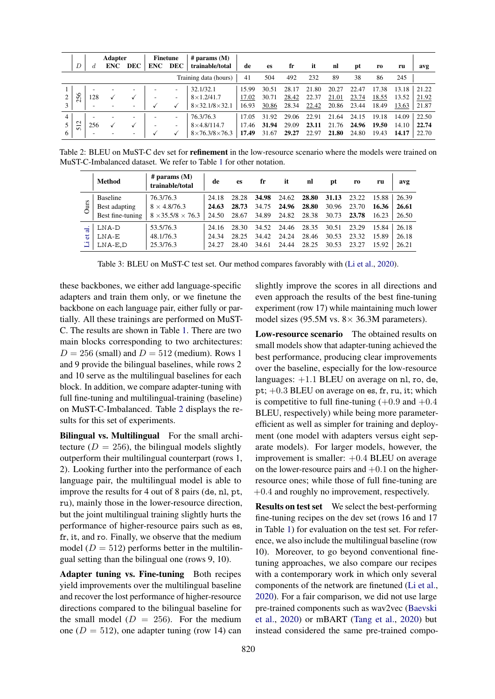<span id="page-3-0"></span>

|                             | D                                                         | <b>Adapter</b><br><b>DEC</b><br><b>ENC</b><br>d |                          | # params $(M)$<br>Finetune<br><b>DEC</b><br>trainable/total<br><b>ENC</b> |   | de                       | es                            | fr    | it    | nl    | pt    | r0    | ru    | avg   |       |       |
|-----------------------------|-----------------------------------------------------------|-------------------------------------------------|--------------------------|---------------------------------------------------------------------------|---|--------------------------|-------------------------------|-------|-------|-------|-------|-------|-------|-------|-------|-------|
| Training data (hours)<br>41 |                                                           |                                                 |                          |                                                                           |   |                          |                               |       | 504   | 492   | 232   | 89    | 38    | 86    | 245   |       |
|                             |                                                           | -                                               |                          | -                                                                         |   | $\overline{\phantom{a}}$ | 32.1/32.1                     | 15.99 | 30.51 | 28.17 | 21.80 | 20.27 | 22.47 | 17.38 | 13.18 | 21.22 |
|                             | 256                                                       | 128                                             |                          |                                                                           |   | $\overline{\phantom{a}}$ | $8\times1.2/41.7$             | 17.02 | 30.71 | 28.42 | 22.37 | 21.01 | 23.74 | 18.55 | 13.52 | 21.92 |
|                             |                                                           | ۰                                               |                          | $\overline{\phantom{a}}$                                                  |   |                          | $8 \times 32.1/8 \times 32.1$ | 16.93 | 30.86 | 28.34 | 22.42 | 20.86 | 23.44 | 18.49 | 13.63 | 21.87 |
|                             |                                                           | -                                               | $\overline{\phantom{a}}$ | $\overline{\phantom{a}}$                                                  |   | $\overline{\phantom{a}}$ | 76.3/76.3                     | 17.05 | 31.92 | 29.06 | 22.91 | 21.64 | 24.15 | 19.18 | 14.09 | 22.50 |
|                             | $\mathbf{\sim}$<br>$\overline{\phantom{0}}$<br>$\sqrt{2}$ | 256                                             |                          |                                                                           |   | $\overline{\phantom{a}}$ | $8\times4.8/114.7$            | 17.46 | 31.94 | 29.09 | 23.11 | 21.76 | 24.96 | 19.50 | 14.10 | 22.74 |
| 6                           |                                                           | ۰                                               |                          | $\overline{\phantom{a}}$                                                  | v |                          | $8\times76.3/8\times76.3$     | 17.49 | 31.67 | 29.27 | 22.97 | 21.80 | 24.80 | 19.43 | 14.17 | 22.70 |

<span id="page-3-1"></span>Table 2: BLEU on MuST-C dev set for **refinement** in the low-resource scenario where the models were trained on MuST-C-Imbalanced dataset. We refer to Table [1](#page-2-1) for other notation.

|         | <b>Method</b>    | # params $(M)$<br>trainable/total | de    | es    | fr    | it    | nl    | pt    | r <sub>0</sub> | ru    | avg   |
|---------|------------------|-----------------------------------|-------|-------|-------|-------|-------|-------|----------------|-------|-------|
| Ours    | <b>Baseline</b>  | 76.3/76.3                         | 24.18 | 28.28 | 34.98 | 24.62 | 28.80 | 31.13 | 23.22          | 15.88 | 26.39 |
|         | Best adapting    | $8 \times 4.8/76.3$               | 24.63 | 28.73 | 34.75 | 24.96 | 28.80 | 30.96 | 23.70          | 16.36 | 26.61 |
|         | Best fine-tuning | $8 \times 35.5/8 \times 76.3$     | 24.50 | 28.67 | 34.89 | 24.82 | 28.38 | 30.73 | 23.78          | 16.23 | 26.50 |
| ಕ<br>'ਨ | LNA-D            | 53.5/76.3                         | 24.16 | 28.30 | 34.52 | 24.46 | 28.35 | 30.51 | 23.29          | 15.84 | 26.18 |
|         | LNA-E            | 48.1/76.3                         | 24.34 | 28.25 | 34.42 | 24.24 | 28.46 | 30.53 | 23.32          | 15.89 | 26.18 |
|         | $LNA-E,D$        | 25.3/76.3                         | 24.27 | 28.40 | 34.61 | 24.44 | 28.25 | 30.53 | 23.27          | 15.92 | 26.21 |

Table 3: BLEU on MuST-C test set. Our method compares favorably with [\(Li et al.,](#page-5-9) [2020\)](#page-5-9).

these backbones, we either add language-specific adapters and train them only, or we finetune the backbone on each language pair, either fully or partially. All these trainings are performed on MuST-C. The results are shown in Table [1.](#page-2-1) There are two main blocks corresponding to two architectures:  $D = 256$  (small) and  $D = 512$  (medium). Rows 1 and 9 provide the bilingual baselines, while rows 2 and 10 serve as the multilingual baselines for each block. In addition, we compare adapter-tuning with full fine-tuning and multilingual-training (baseline) on MuST-C-Imbalanced. Table [2](#page-3-0) displays the results for this set of experiments.

Bilingual vs. Multilingual For the small architecture ( $D = 256$ ), the bilingual models slightly outperform their multilingual counterpart (rows 1, 2). Looking further into the performance of each language pair, the multilingual model is able to improve the results for 4 out of 8 pairs (de, nl, pt, ru), mainly those in the lower-resource direction, but the joint multilingual training slightly hurts the performance of higher-resource pairs such as es, fr, it, and ro. Finally, we observe that the medium model ( $D = 512$ ) performs better in the multilingual setting than the bilingual one (rows 9, 10).

Adapter tuning vs. Fine-tuning Both recipes yield improvements over the multilingual baseline and recover the lost performance of higher-resource directions compared to the bilingual baseline for the small model  $(D = 256)$ . For the medium one ( $D = 512$ ), one adapter tuning (row 14) can slightly improve the scores in all directions and even approach the results of the best fine-tuning experiment (row 17) while maintaining much lower model sizes (95.5M vs.  $8 \times 36.3$ M parameters).

Low-resource scenario The obtained results on small models show that adapter-tuning achieved the best performance, producing clear improvements over the baseline, especially for the low-resource languages:  $+1.1$  BLEU on average on nl, ro, de, pt; +0.3 BLEU on average on es, fr, ru, it; which is competitive to full fine-tuning  $(+0.9 \text{ and } +0.4)$ BLEU, respectively) while being more parameterefficient as well as simpler for training and deployment (one model with adapters versus eight separate models). For larger models, however, the improvement is smaller:  $+0.4$  BLEU on average on the lower-resource pairs and  $+0.1$  on the higherresource ones; while those of full fine-tuning are +0.4 and roughly no improvement, respectively.

Results on test set We select the best-performing fine-tuning recipes on the dev set (rows 16 and 17 in Table [1\)](#page-2-1) for evaluation on the test set. For reference, we also include the multilingual baseline (row 10). Moreover, to go beyond conventional finetuning approaches, we also compare our recipes with a contemporary work in which only several components of the network are finetuned [\(Li et al.,](#page-5-9) [2020\)](#page-5-9). For a fair comparison, we did not use large pre-trained components such as wav2vec [\(Baevski](#page-5-18) [et al.,](#page-5-18) [2020\)](#page-5-18) or mBART [\(Tang et al.,](#page-6-0) [2020\)](#page-6-0) but instead considered the same pre-trained compo-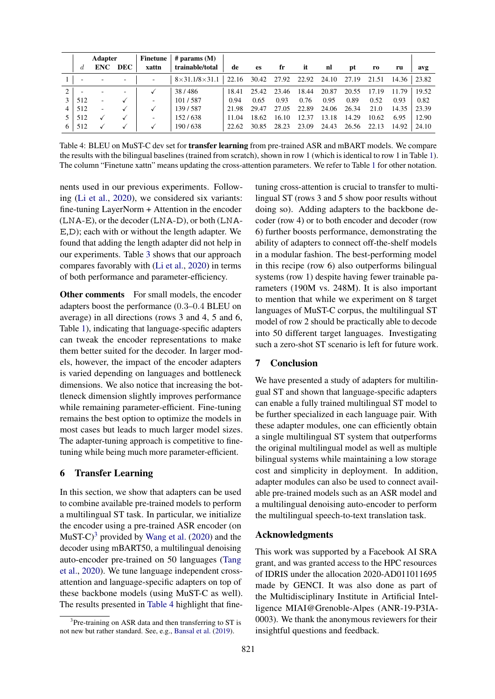<span id="page-4-2"></span>

|   | <b>Adapter</b> |            |            | Finetune | $#$ params $(M)$          |       |           |       |       |       |       |       |       |       |
|---|----------------|------------|------------|----------|---------------------------|-------|-----------|-------|-------|-------|-------|-------|-------|-------|
|   | đ.             | <b>ENC</b> | <b>DEC</b> | xattn    | trainable/total           | de    | <b>es</b> | fr    | it    | nl    | pt    | ro    | ru    | avg   |
|   |                |            |            | ٠        | $8\times31.1/8\times31.1$ | 22.16 | 30.42     | 27.92 | 22.92 | 24.10 | 27.19 | 21.51 | 14.36 | 23.82 |
| ↑ |                | -          |            |          | 38/486                    | 18.41 | 25.42     | 23.46 | 18.44 | 20.87 | 20.55 | 17.19 | 11.79 | 19.52 |
| 3 | 512            | ٠          |            | $\sim$   | 101/587                   | 0.94  | 0.65      | 0.93  | 0.76  | 0.95  | 0.89  | 0.52  | 0.93  | 0.82  |
|   | 512            | ٠          |            |          | 139/587                   | 21.98 | 29.47     | 27.05 | 22.89 | 24.06 | 26.34 | 21.0  | 14.35 | 23.39 |
|   | 512            |            |            | $\sim$   | 152/638                   | 11.04 | 18.62     | 16.10 | 12.37 | 13.18 | 14.29 | 10.62 | 6.95  | 12.90 |
| 6 | 512            |            |            |          | 190/638                   | 22.62 | 30.85     | 28.23 | 23.09 | 24.43 | 26.56 | 22.13 | 14.92 | 24.10 |

Table 4: BLEU on MuST-C dev set for **transfer learning** from pre-trained ASR and mBART models. We compare the results with the bilingual baselines (trained from scratch), shown in row 1 (which is identical to row 1 in Table [1\)](#page-2-1). The column "Finetune xattn" means updating the cross-attention parameters. We refer to Table [1](#page-2-1) for other notation.

nents used in our previous experiments. Following [\(Li et al.,](#page-5-9) [2020\)](#page-5-9), we considered six variants: fine-tuning LayerNorm + Attention in the encoder (LNA-E), or the decoder (LNA-D), or both (LNA-E,D); each with or without the length adapter. We found that adding the length adapter did not help in our experiments. Table [3](#page-3-1) shows that our approach compares favorably with [\(Li et al.,](#page-5-9) [2020\)](#page-5-9) in terms of both performance and parameter-efficiency.

Other comments For small models, the encoder adapters boost the performance (0.3–0.4 BLEU on average) in all directions (rows 3 and 4, 5 and 6, Table [1\)](#page-2-1), indicating that language-specific adapters can tweak the encoder representations to make them better suited for the decoder. In larger models, however, the impact of the encoder adapters is varied depending on languages and bottleneck dimensions. We also notice that increasing the bottleneck dimension slightly improves performance while remaining parameter-efficient. Fine-tuning remains the best option to optimize the models in most cases but leads to much larger model sizes. The adapter-tuning approach is competitive to finetuning while being much more parameter-efficient.

### <span id="page-4-0"></span>6 Transfer Learning

In this section, we show that adapters can be used to combine available pre-trained models to perform a multilingual ST task. In particular, we initialize the encoder using a pre-trained ASR encoder (on MuST-C $^{3}$  $^{3}$  $^{3}$  provided by [Wang et al.](#page-6-1) [\(2020\)](#page-6-1) and the decoder using mBART50, a multilingual denoising auto-encoder pre-trained on 50 languages [\(Tang](#page-6-0) [et al.,](#page-6-0) [2020\)](#page-6-0). We tune language independent crossattention and language-specific adapters on top of these backbone models (using MuST-C as well). The results presented in [Table 4](#page-4-2) highlight that finetuning cross-attention is crucial to transfer to multilingual ST (rows 3 and 5 show poor results without doing so). Adding adapters to the backbone decoder (row 4) or to both encoder and decoder (row 6) further boosts performance, demonstrating the ability of adapters to connect off-the-shelf models in a modular fashion. The best-performing model in this recipe (row 6) also outperforms bilingual systems (row 1) despite having fewer trainable parameters (190M vs. 248M). It is also important to mention that while we experiment on 8 target languages of MuST-C corpus, the multilingual ST model of row 2 should be practically able to decode into 50 different target languages. Investigating such a zero-shot ST scenario is left for future work.

### 7 Conclusion

We have presented a study of adapters for multilingual ST and shown that language-specific adapters can enable a fully trained multilingual ST model to be further specialized in each language pair. With these adapter modules, one can efficiently obtain a single multilingual ST system that outperforms the original multilingual model as well as multiple bilingual systems while maintaining a low storage cost and simplicity in deployment. In addition, adapter modules can also be used to connect available pre-trained models such as an ASR model and a multilingual denoising auto-encoder to perform the multilingual speech-to-text translation task.

# Acknowledgments

This work was supported by a Facebook AI SRA grant, and was granted access to the HPC resources of IDRIS under the allocation 2020-AD011011695 made by GENCI. It was also done as part of the Multidisciplinary Institute in Artificial Intelligence MIAI@Grenoble-Alpes (ANR-19-P3IA-0003). We thank the anonymous reviewers for their insightful questions and feedback.

<span id="page-4-1"></span><sup>&</sup>lt;sup>3</sup>Pre-training on ASR data and then transferring to ST is not new but rather standard. See, e.g., [Bansal et al.](#page-5-19) [\(2019\)](#page-5-19).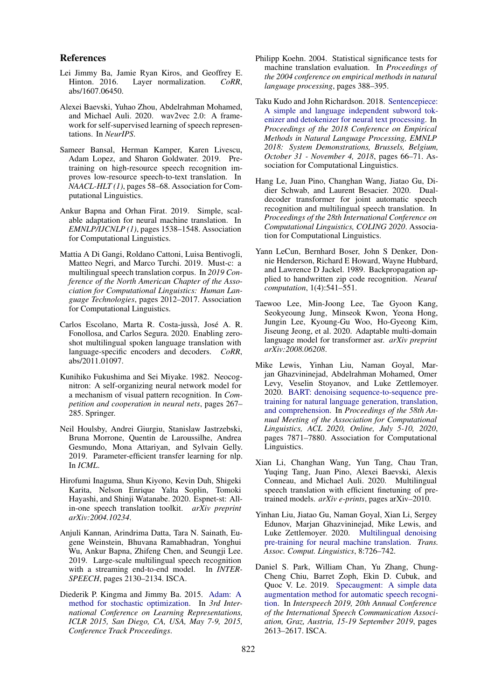### References

- <span id="page-5-0"></span>Lei Jimmy Ba, Jamie Ryan Kiros, and Geoffrey E.<br>Hinton. 2016. Layer normalization. CoRR, Layer normalization. *CoRR*, abs/1607.06450.
- <span id="page-5-18"></span>Alexei Baevski, Yuhao Zhou, Abdelrahman Mohamed, and Michael Auli. 2020. wav2vec 2.0: A framework for self-supervised learning of speech representations. In *NeurIPS*.
- <span id="page-5-19"></span>Sameer Bansal, Herman Kamper, Karen Livescu, Adam Lopez, and Sharon Goldwater. 2019. Pretraining on high-resource speech recognition improves low-resource speech-to-text translation. In *NAACL-HLT (1)*, pages 58–68. Association for Computational Linguistics.
- <span id="page-5-1"></span>Ankur Bapna and Orhan Firat. 2019. Simple, scalable adaptation for neural machine translation. In *EMNLP/IJCNLP (1)*, pages 1538–1548. Association for Computational Linguistics.
- <span id="page-5-3"></span>Mattia A Di Gangi, Roldano Cattoni, Luisa Bentivogli, Matteo Negri, and Marco Turchi. 2019. Must-c: a multilingual speech translation corpus. In *2019 Conference of the North American Chapter of the Association for Computational Linguistics: Human Language Technologies*, pages 2012–2017. Association for Computational Linguistics.
- <span id="page-5-8"></span>Carlos Escolano, Marta R. Costa-jussà, José A. R. Fonollosa, and Carlos Segura. 2020. Enabling zeroshot multilingual spoken language translation with language-specific encoders and decoders. *CoRR*, abs/2011.01097.
- <span id="page-5-12"></span>Kunihiko Fukushima and Sei Miyake. 1982. Neocognitron: A self-organizing neural network model for a mechanism of visual pattern recognition. In *Competition and cooperation in neural nets*, pages 267– 285. Springer.
- <span id="page-5-4"></span>Neil Houlsby, Andrei Giurgiu, Stanislaw Jastrzebski, Bruna Morrone, Quentin de Laroussilhe, Andrea Gesmundo, Mona Attariyan, and Sylvain Gelly. 2019. Parameter-efficient transfer learning for nlp. In *ICML*.
- <span id="page-5-11"></span>Hirofumi Inaguma, Shun Kiyono, Kevin Duh, Shigeki Karita, Nelson Enrique Yalta Soplin, Tomoki Hayashi, and Shinji Watanabe. 2020. Espnet-st: Allin-one speech translation toolkit. *arXiv preprint arXiv:2004.10234*.
- <span id="page-5-6"></span>Anjuli Kannan, Arindrima Datta, Tara N. Sainath, Eugene Weinstein, Bhuvana Ramabhadran, Yonghui Wu, Ankur Bapna, Zhifeng Chen, and Seungji Lee. 2019. Large-scale multilingual speech recognition with a streaming end-to-end model. In *INTER-SPEECH*, pages 2130–2134. ISCA.
- <span id="page-5-17"></span>Diederik P. Kingma and Jimmy Ba. 2015. [Adam: A](http://arxiv.org/abs/1412.6980) [method for stochastic optimization.](http://arxiv.org/abs/1412.6980) In *3rd International Conference on Learning Representations, ICLR 2015, San Diego, CA, USA, May 7-9, 2015, Conference Track Proceedings*.
- <span id="page-5-14"></span>Philipp Koehn. 2004. Statistical significance tests for machine translation evaluation. In *Proceedings of the 2004 conference on empirical methods in natural language processing*, pages 388–395.
- <span id="page-5-15"></span>Taku Kudo and John Richardson. 2018. [Sentencepiece:](https://doi.org/10.18653/v1/d18-2012) [A simple and language independent subword tok](https://doi.org/10.18653/v1/d18-2012)[enizer and detokenizer for neural text processing.](https://doi.org/10.18653/v1/d18-2012) In *Proceedings of the 2018 Conference on Empirical Methods in Natural Language Processing, EMNLP 2018: System Demonstrations, Brussels, Belgium, October 31 - November 4, 2018*, pages 66–71. Association for Computational Linguistics.
- <span id="page-5-10"></span>Hang Le, Juan Pino, Changhan Wang, Jiatao Gu, Didier Schwab, and Laurent Besacier. 2020. Dualdecoder transformer for joint automatic speech recognition and multilingual speech translation. In *Proceedings of the 28th International Conference on Computational Linguistics, COLING 2020*. Association for Computational Linguistics.
- <span id="page-5-13"></span>Yann LeCun, Bernhard Boser, John S Denker, Donnie Henderson, Richard E Howard, Wayne Hubbard, and Lawrence D Jackel. 1989. Backpropagation applied to handwritten zip code recognition. *Neural computation*, 1(4):541–551.
- <span id="page-5-7"></span>Taewoo Lee, Min-Joong Lee, Tae Gyoon Kang, Seokyeoung Jung, Minseok Kwon, Yeona Hong, Jungin Lee, Kyoung-Gu Woo, Ho-Gyeong Kim, Jiseung Jeong, et al. 2020. Adaptable multi-domain language model for transformer asr. *arXiv preprint arXiv:2008.06208*.
- <span id="page-5-5"></span>Mike Lewis, Yinhan Liu, Naman Goyal, Marjan Ghazvininejad, Abdelrahman Mohamed, Omer Levy, Veselin Stoyanov, and Luke Zettlemoyer. 2020. [BART: denoising sequence-to-sequence pre](https://doi.org/10.18653/v1/2020.acl-main.703)[training for natural language generation, translation,](https://doi.org/10.18653/v1/2020.acl-main.703) [and comprehension.](https://doi.org/10.18653/v1/2020.acl-main.703) In *Proceedings of the 58th Annual Meeting of the Association for Computational Linguistics, ACL 2020, Online, July 5-10, 2020*, pages 7871–7880. Association for Computational Linguistics.
- <span id="page-5-9"></span>Xian Li, Changhan Wang, Yun Tang, Chau Tran, Yuqing Tang, Juan Pino, Alexei Baevski, Alexis Conneau, and Michael Auli. 2020. Multilingual speech translation with efficient finetuning of pretrained models. *arXiv e-prints*, pages arXiv–2010.
- <span id="page-5-2"></span>Yinhan Liu, Jiatao Gu, Naman Goyal, Xian Li, Sergey Edunov, Marjan Ghazvininejad, Mike Lewis, and Luke Zettlemoyer. 2020. [Multilingual denoising](https://transacl.org/ojs/index.php/tacl/article/view/2107) [pre-training for neural machine translation.](https://transacl.org/ojs/index.php/tacl/article/view/2107) *Trans. Assoc. Comput. Linguistics*, 8:726–742.
- <span id="page-5-16"></span>Daniel S. Park, William Chan, Yu Zhang, Chung-Cheng Chiu, Barret Zoph, Ekin D. Cubuk, and Quoc V. Le. 2019. [Specaugment: A simple data](https://doi.org/10.21437/Interspeech.2019-2680) [augmentation method for automatic speech recogni](https://doi.org/10.21437/Interspeech.2019-2680)[tion.](https://doi.org/10.21437/Interspeech.2019-2680) In *Interspeech 2019, 20th Annual Conference of the International Speech Communication Association, Graz, Austria, 15-19 September 2019*, pages 2613–2617. ISCA.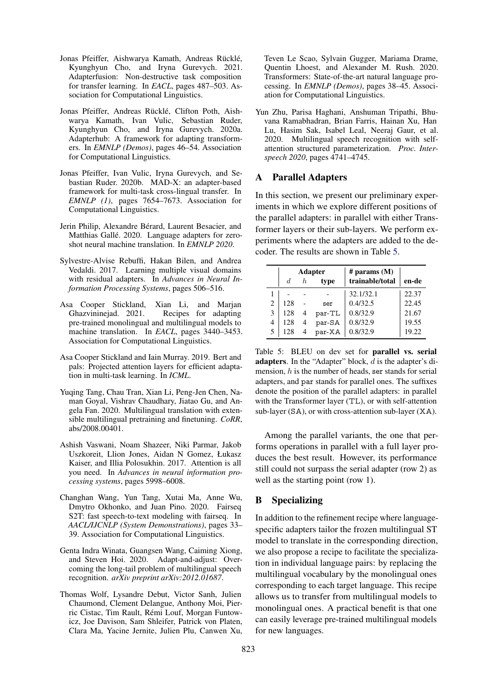- <span id="page-6-5"></span>Jonas Pfeiffer, Aishwarya Kamath, Andreas Rücklé, Kyunghyun Cho, and Iryna Gurevych. 2021. Adapterfusion: Non-destructive task composition for transfer learning. In *EACL*, pages 487–503. Association for Computational Linguistics.
- <span id="page-6-7"></span>Jonas Pfeiffer, Andreas Rücklé, Clifton Poth, Aishwarya Kamath, Ivan Vulic, Sebastian Ruder, Kyunghyun Cho, and Iryna Gurevych. 2020a. Adapterhub: A framework for adapting transformers. In *EMNLP (Demos)*, pages 46–54. Association for Computational Linguistics.
- <span id="page-6-4"></span>Jonas Pfeiffer, Ivan Vulic, Iryna Gurevych, and Sebastian Ruder. 2020b. MAD-X: an adapter-based framework for multi-task cross-lingual transfer. In *EMNLP (1)*, pages 7654–7673. Association for Computational Linguistics.
- <span id="page-6-3"></span>Jerin Philip, Alexandre Bérard, Laurent Besacier, and Matthias Gallé. 2020. Language adapters for zeroshot neural machine translation. In *EMNLP 2020*.
- <span id="page-6-2"></span>Sylvestre-Alvise Rebuffi, Hakan Bilen, and Andrea Vedaldi. 2017. Learning multiple visual domains with residual adapters. In *Advances in Neural Information Processing Systems*, pages 506–516.
- <span id="page-6-8"></span>Asa Cooper Stickland, Xian Li, and Marjan Ghazvininejad. 2021. Recipes for adapting pre-trained monolingual and multilingual models to machine translation. In *EACL*, pages 3440–3453. Association for Computational Linguistics.
- <span id="page-6-12"></span>Asa Cooper Stickland and Iain Murray. 2019. Bert and pals: Projected attention layers for efficient adaptation in multi-task learning. In *ICML*.
- <span id="page-6-0"></span>Yuqing Tang, Chau Tran, Xian Li, Peng-Jen Chen, Naman Goyal, Vishrav Chaudhary, Jiatao Gu, and Angela Fan. 2020. Multilingual translation with extensible multilingual pretraining and finetuning. *CoRR*, abs/2008.00401.
- <span id="page-6-11"></span>Ashish Vaswani, Noam Shazeer, Niki Parmar, Jakob Uszkoreit, Llion Jones, Aidan N Gomez, Łukasz Kaiser, and Illia Polosukhin. 2017. Attention is all you need. In *Advances in neural information processing systems*, pages 5998–6008.
- <span id="page-6-1"></span>Changhan Wang, Yun Tang, Xutai Ma, Anne Wu, Dmytro Okhonko, and Juan Pino. 2020. Fairseq S2T: fast speech-to-text modeling with fairseq. In *AACL/IJCNLP (System Demonstrations)*, pages 33– 39. Association for Computational Linguistics.
- <span id="page-6-9"></span>Genta Indra Winata, Guangsen Wang, Caiming Xiong, and Steven Hoi. 2020. Adapt-and-adjust: Overcoming the long-tail problem of multilingual speech recognition. *arXiv preprint arXiv:2012.01687*.
- <span id="page-6-6"></span>Thomas Wolf, Lysandre Debut, Victor Sanh, Julien Chaumond, Clement Delangue, Anthony Moi, Pierric Cistac, Tim Rault, Remi Louf, Morgan Funtow- ´ icz, Joe Davison, Sam Shleifer, Patrick von Platen, Clara Ma, Yacine Jernite, Julien Plu, Canwen Xu,

Teven Le Scao, Sylvain Gugger, Mariama Drame, Quentin Lhoest, and Alexander M. Rush. 2020. Transformers: State-of-the-art natural language processing. In *EMNLP (Demos)*, pages 38–45. Association for Computational Linguistics.

<span id="page-6-10"></span>Yun Zhu, Parisa Haghani, Anshuman Tripathi, Bhuvana Ramabhadran, Brian Farris, Hainan Xu, Han Lu, Hasim Sak, Isabel Leal, Neeraj Gaur, et al. 2020. Multilingual speech recognition with selfattention structured parameterization. *Proc. Interspeech 2020*, pages 4741–4745.

### A Parallel Adapters

In this section, we present our preliminary experiments in which we explore different positions of the parallel adapters: in parallel with either Transformer layers or their sub-layers. We perform experiments where the adapters are added to the decoder. The results are shown in Table [5.](#page-6-13)

<span id="page-6-13"></span>

|   |     |    | <b>Adapter</b> | # params $(M)$  |       |
|---|-----|----|----------------|-----------------|-------|
|   | d.  | h. | type           | trainable/total | en-de |
|   |     |    |                | 32.1/32.1       | 22.37 |
| 2 | 128 |    | ser            | 0.4/32.5        | 22.45 |
| 3 | 128 | 4  | par-TL         | 0.8/32.9        | 21.67 |
| 4 | 128 | 4  | par-SA         | 0.8/32.9        | 19.55 |
| 5 | 128 |    | par-XA         | 0.8/32.9        | 19.22 |

Table 5: BLEU on dev set for parallel vs. serial adapters. In the "Adapter" block, d is the adapter's dimension,  $h$  is the number of heads, ser stands for serial adapters, and par stands for parallel ones. The suffixes denote the position of the parallel adapters: in parallel with the Transformer layer (TL), or with self-attention sub-layer (SA), or with cross-attention sub-layer (XA).

Among the parallel variants, the one that performs operations in parallel with a full layer produces the best result. However, its performance still could not surpass the serial adapter (row 2) as well as the starting point (row 1).

### B Specializing

In addition to the refinement recipe where languagespecific adapters tailor the frozen multilingual ST model to translate in the corresponding direction, we also propose a recipe to facilitate the specialization in individual language pairs: by replacing the multilingual vocabulary by the monolingual ones corresponding to each target language. This recipe allows us to transfer from multilingual models to monolingual ones. A practical benefit is that one can easily leverage pre-trained multilingual models for new languages.